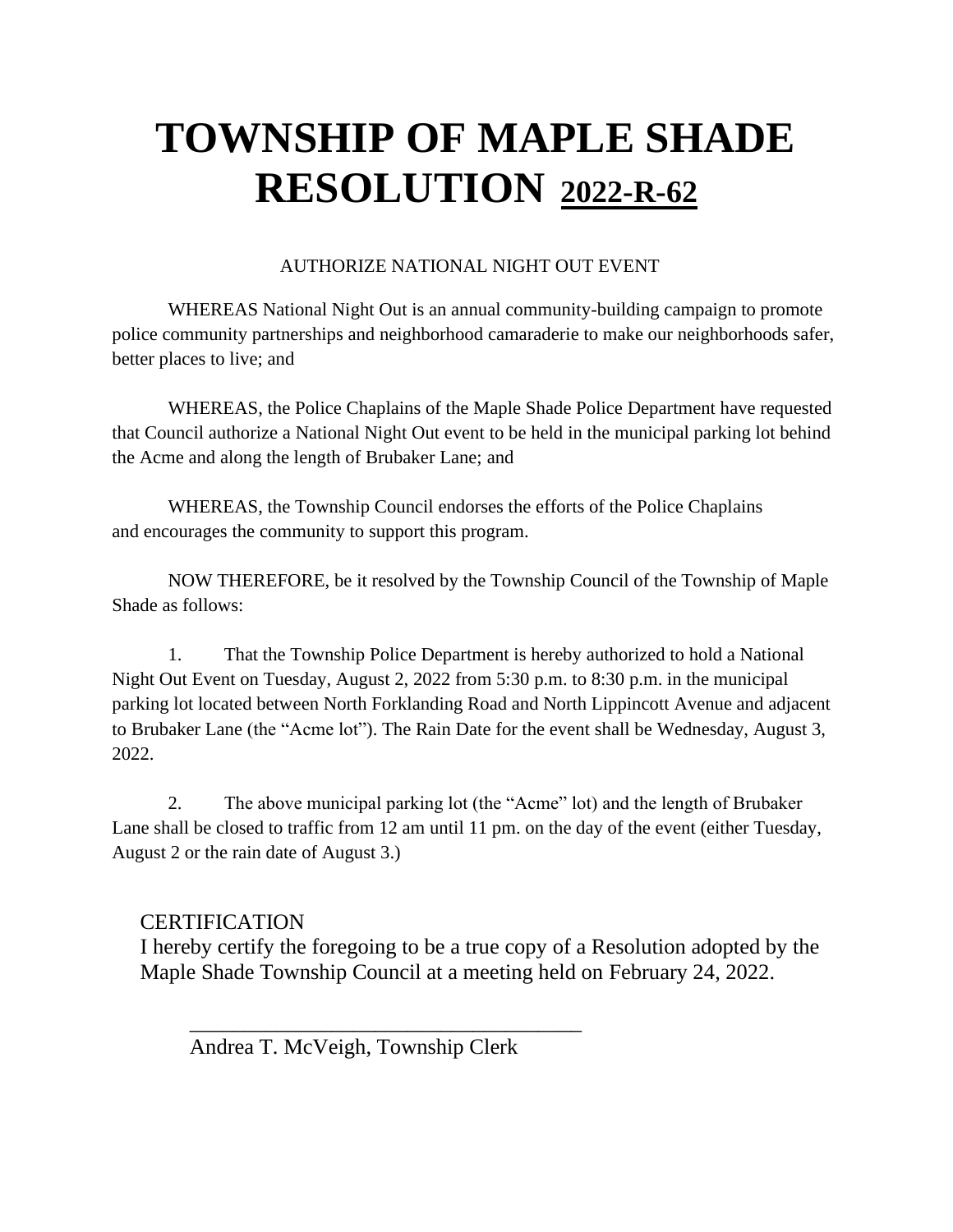### AUTHORIZE NATIONAL NIGHT OUT EVENT

WHEREAS National Night Out is an annual community-building campaign to promote police community partnerships and neighborhood camaraderie to make our neighborhoods safer, better places to live; and

WHEREAS, the Police Chaplains of the Maple Shade Police Department have requested that Council authorize a National Night Out event to be held in the municipal parking lot behind the Acme and along the length of Brubaker Lane; and

WHEREAS, the Township Council endorses the efforts of the Police Chaplains and encourages the community to support this program.

NOW THEREFORE, be it resolved by the Township Council of the Township of Maple Shade as follows:

1. That the Township Police Department is hereby authorized to hold a National Night Out Event on Tuesday, August 2, 2022 from 5:30 p.m. to 8:30 p.m. in the municipal parking lot located between North Forklanding Road and North Lippincott Avenue and adjacent to Brubaker Lane (the "Acme lot"). The Rain Date for the event shall be Wednesday, August 3, 2022.

2. The above municipal parking lot (the "Acme" lot) and the length of Brubaker Lane shall be closed to traffic from 12 am until 11 pm. on the day of the event (either Tuesday, August 2 or the rain date of August 3.)

### **CERTIFICATION**

I hereby certify the foregoing to be a true copy of a Resolution adopted by the Maple Shade Township Council at a meeting held on February 24, 2022.

Andrea T. McVeigh, Township Clerk

 $\overline{\phantom{a}}$  ,  $\overline{\phantom{a}}$  ,  $\overline{\phantom{a}}$  ,  $\overline{\phantom{a}}$  ,  $\overline{\phantom{a}}$  ,  $\overline{\phantom{a}}$  ,  $\overline{\phantom{a}}$  ,  $\overline{\phantom{a}}$  ,  $\overline{\phantom{a}}$  ,  $\overline{\phantom{a}}$  ,  $\overline{\phantom{a}}$  ,  $\overline{\phantom{a}}$  ,  $\overline{\phantom{a}}$  ,  $\overline{\phantom{a}}$  ,  $\overline{\phantom{a}}$  ,  $\overline{\phantom{a}}$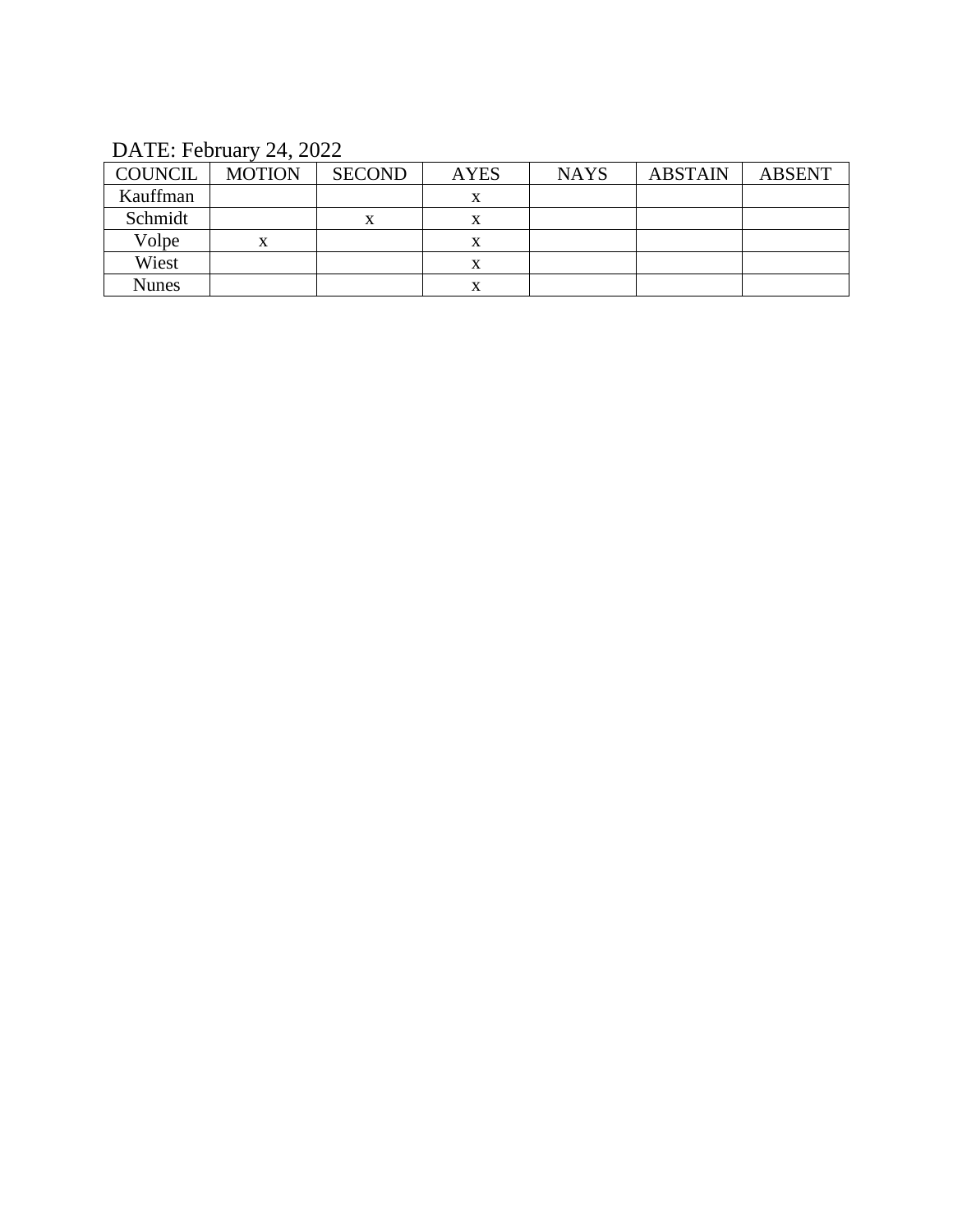## DATE: February 24, 2022

| <b>COUNCIL</b> | <b>MOTION</b> | <b>SECOND</b> | <b>AYES</b> | <b>NAYS</b> | <b>ABSTAIN</b> | <b>ABSENT</b> |
|----------------|---------------|---------------|-------------|-------------|----------------|---------------|
| Kauffman       |               |               | x           |             |                |               |
| Schmidt        |               |               | x           |             |                |               |
| Volpe          | X             |               | л           |             |                |               |
| Wiest          |               |               | л           |             |                |               |
| <b>Nunes</b>   |               |               | л           |             |                |               |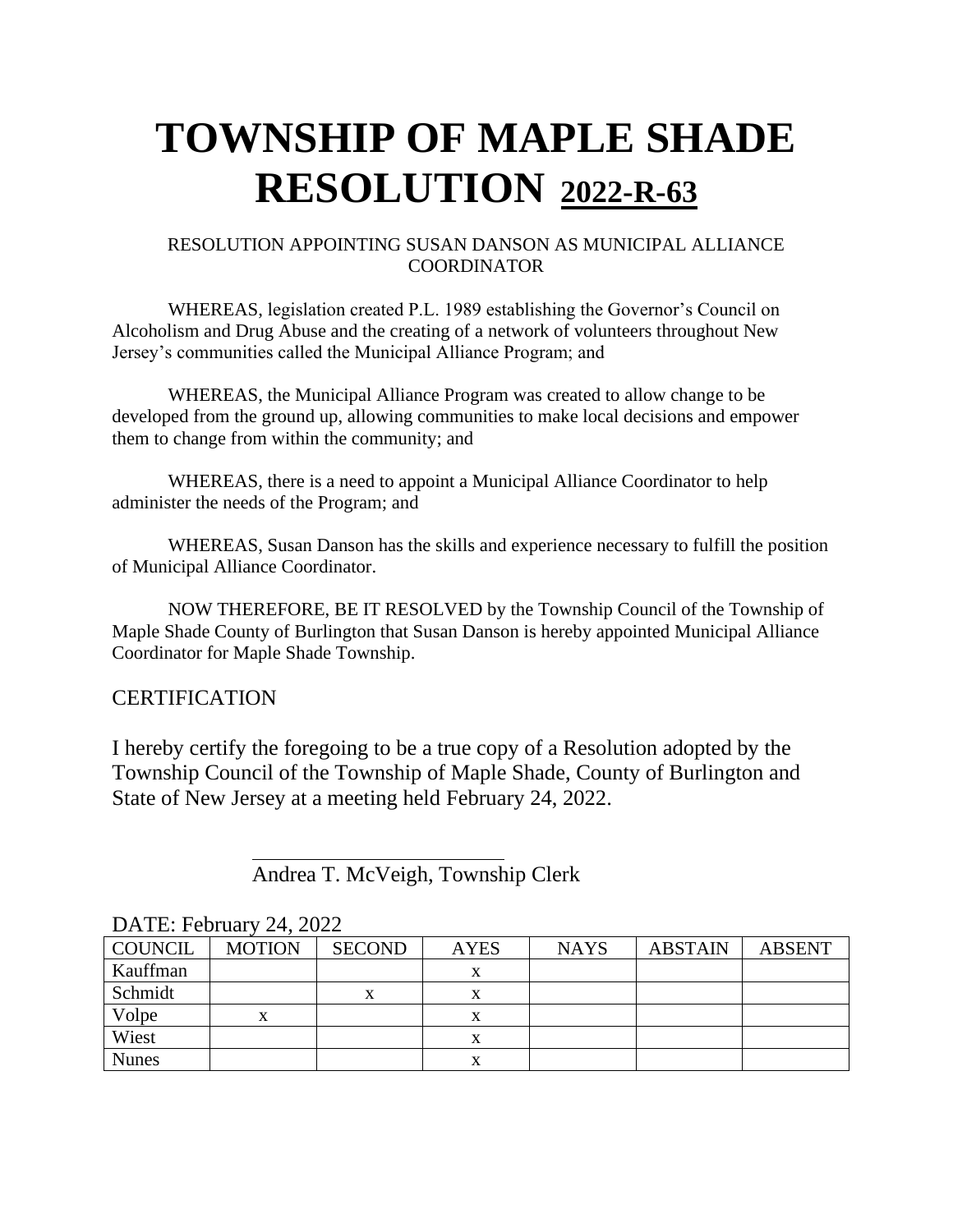### RESOLUTION APPOINTING SUSAN DANSON AS MUNICIPAL ALLIANCE COORDINATOR

WHEREAS, legislation created P.L. 1989 establishing the Governor's Council on Alcoholism and Drug Abuse and the creating of a network of volunteers throughout New Jersey's communities called the Municipal Alliance Program; and

WHEREAS, the Municipal Alliance Program was created to allow change to be developed from the ground up, allowing communities to make local decisions and empower them to change from within the community; and

WHEREAS, there is a need to appoint a Municipal Alliance Coordinator to help administer the needs of the Program; and

WHEREAS, Susan Danson has the skills and experience necessary to fulfill the position of Municipal Alliance Coordinator.

NOW THEREFORE, BE IT RESOLVED by the Township Council of the Township of Maple Shade County of Burlington that Susan Danson is hereby appointed Municipal Alliance Coordinator for Maple Shade Township.

### **CERTIFICATION**

I hereby certify the foregoing to be a true copy of a Resolution adopted by the Township Council of the Township of Maple Shade, County of Burlington and State of New Jersey at a meeting held February 24, 2022.

Andrea T. McVeigh, Township Clerk

| <b>COUNCIL</b> | <b>MOTION</b> | <b>SECOND</b> | <b>AYES</b> | <b>NAYS</b> | <b>ABSTAIN</b> | <b>ABSENT</b> |
|----------------|---------------|---------------|-------------|-------------|----------------|---------------|
| Kauffman       |               |               |             |             |                |               |
| Schmidt        |               |               |             |             |                |               |
| Volpe          |               |               |             |             |                |               |
| Wiest          |               |               |             |             |                |               |
| <b>Nunes</b>   |               |               |             |             |                |               |

DATE: February 24, 2022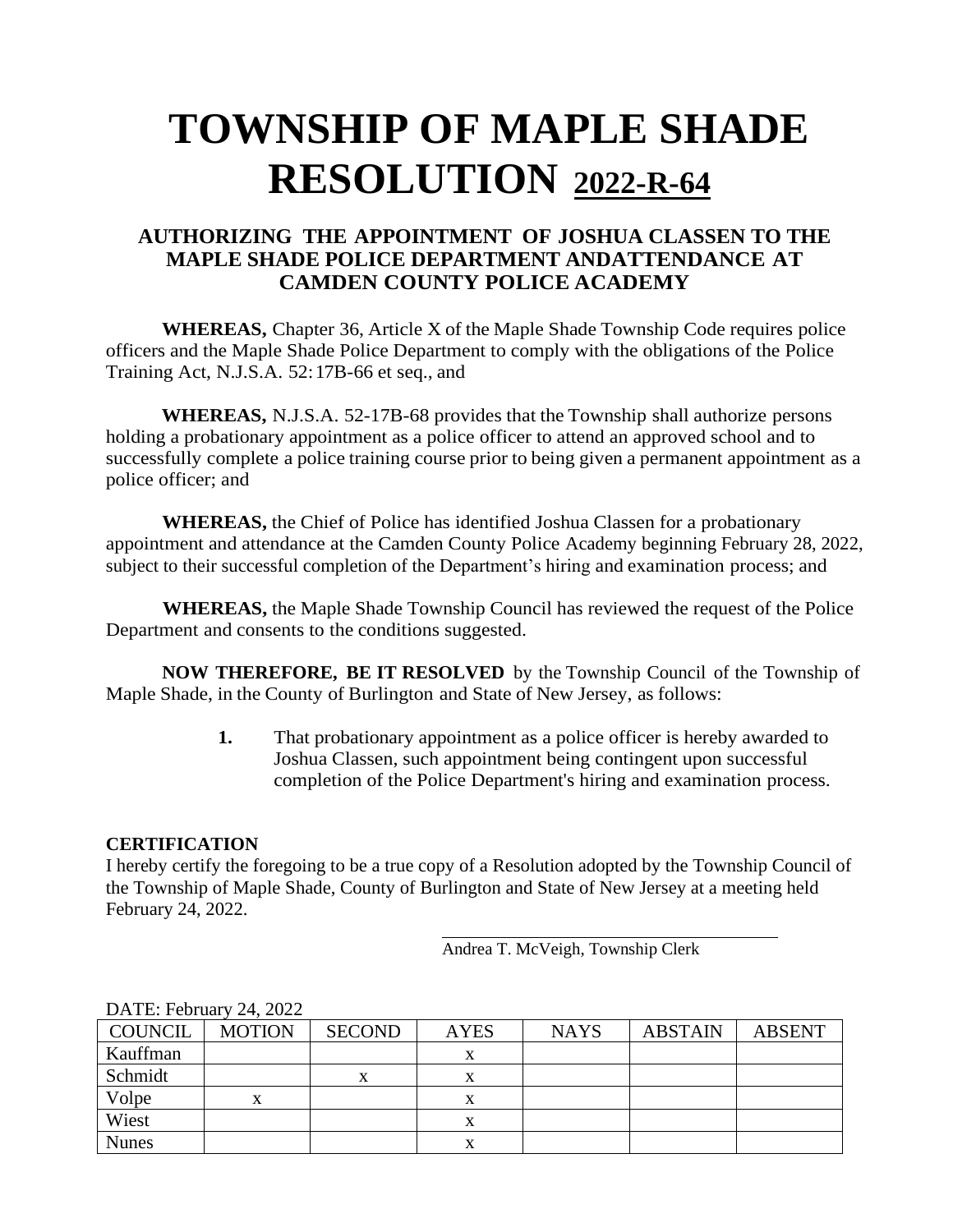## **AUTHORIZING THE APPOINTMENT OF JOSHUA CLASSEN TO THE MAPLE SHADE POLICE DEPARTMENT ANDATTENDANCE AT CAMDEN COUNTY POLICE ACADEMY**

**WHEREAS,** Chapter 36, Article X of the Maple Shade Township Code requires police officers and the Maple Shade Police Department to comply with the obligations of the Police Training Act, N.J.S.A. 52:17B-66 et seq., and

**WHEREAS,** N.J.S.A. 52-17B-68 provides that the Township shall authorize persons holding a probationary appointment as a police officer to attend an approved school and to successfully complete a police training course prior to being given a permanent appointment as a police officer; and

**WHEREAS,** the Chief of Police has identified Joshua Classen for a probationary appointment and attendance at the Camden County Police Academy beginning February 28, 2022, subject to their successful completion of the Department's hiring and examination process; and

**WHEREAS,** the Maple Shade Township Council has reviewed the request of the Police Department and consents to the conditions suggested.

**NOW THEREFORE, BE IT RESOLVED** by the Township Council of the Township of Maple Shade, in the County of Burlington and State of New Jersey, as follows:

> **1.** That probationary appointment as a police officer is hereby awarded to Joshua Classen, such appointment being contingent upon successful completion of the Police Department's hiring and examination process.

### **CERTIFICATION**

I hereby certify the foregoing to be a true copy of a Resolution adopted by the Township Council of the Township of Maple Shade, County of Burlington and State of New Jersey at a meeting held February 24, 2022.

Andrea T. McVeigh, Township Clerk

|              | .             |               |             |             |                |               |
|--------------|---------------|---------------|-------------|-------------|----------------|---------------|
| COUNCIL      | <b>MOTION</b> | <b>SECOND</b> | <b>AYES</b> | <b>NAYS</b> | <b>ABSTAIN</b> | <b>ABSENT</b> |
| Kauffman     |               |               |             |             |                |               |
| Schmidt      |               | x             |             |             |                |               |
| Volpe        |               |               |             |             |                |               |
| Wiest        |               |               |             |             |                |               |
| <b>Nunes</b> |               |               |             |             |                |               |

### DATE: February 24, 2022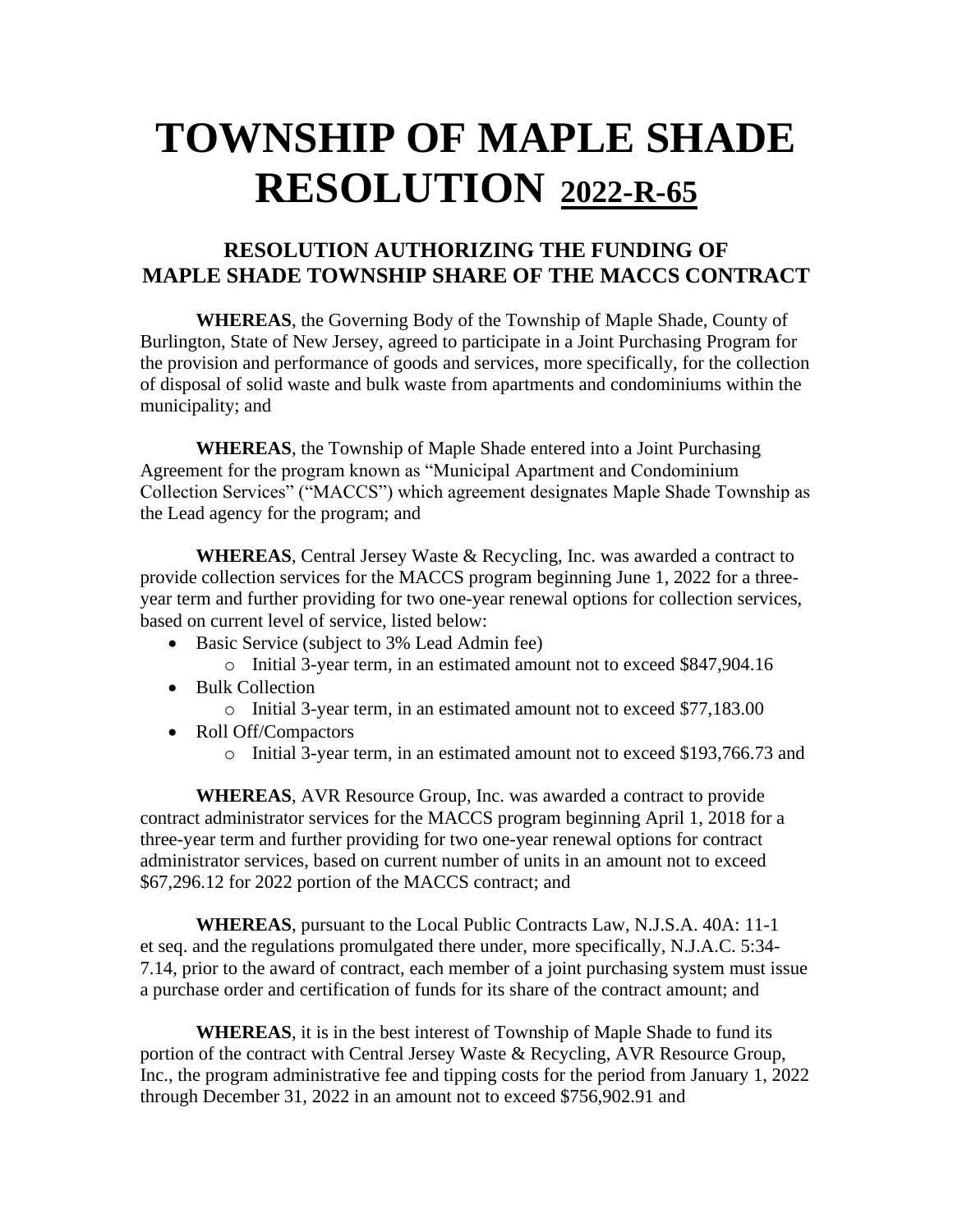## **RESOLUTION AUTHORIZING THE FUNDING OF MAPLE SHADE TOWNSHIP SHARE OF THE MACCS CONTRACT**

**WHEREAS**, the Governing Body of the Township of Maple Shade, County of Burlington, State of New Jersey, agreed to participate in a Joint Purchasing Program for the provision and performance of goods and services, more specifically, for the collection of disposal of solid waste and bulk waste from apartments and condominiums within the municipality; and

**WHEREAS**, the Township of Maple Shade entered into a Joint Purchasing Agreement for the program known as "Municipal Apartment and Condominium Collection Services" ("MACCS") which agreement designates Maple Shade Township as the Lead agency for the program; and

**WHEREAS**, Central Jersey Waste & Recycling, Inc. was awarded a contract to provide collection services for the MACCS program beginning June 1, 2022 for a threeyear term and further providing for two one-year renewal options for collection services, based on current level of service, listed below:

- Basic Service (subject to 3% Lead Admin fee)
	- o Initial 3-year term, in an estimated amount not to exceed \$847,904.16
- Bulk Collection
	- o Initial 3-year term, in an estimated amount not to exceed \$77,183.00
- Roll Off/Compactors
	- o Initial 3-year term, in an estimated amount not to exceed \$193,766.73 and

**WHEREAS**, AVR Resource Group, Inc. was awarded a contract to provide contract administrator services for the MACCS program beginning April 1, 2018 for a three-year term and further providing for two one-year renewal options for contract administrator services, based on current number of units in an amount not to exceed \$67,296.12 for 2022 portion of the MACCS contract; and

**WHEREAS**, pursuant to the Local Public Contracts Law, N.J.S.A. 40A: 11-1 et seq. and the regulations promulgated there under, more specifically, N.J.A.C. 5:34- 7.14, prior to the award of contract, each member of a joint purchasing system must issue a purchase order and certification of funds for its share of the contract amount; and

**WHEREAS**, it is in the best interest of Township of Maple Shade to fund its portion of the contract with Central Jersey Waste & Recycling, AVR Resource Group, Inc., the program administrative fee and tipping costs for the period from January 1, 2022 through December 31, 2022 in an amount not to exceed \$756,902.91 and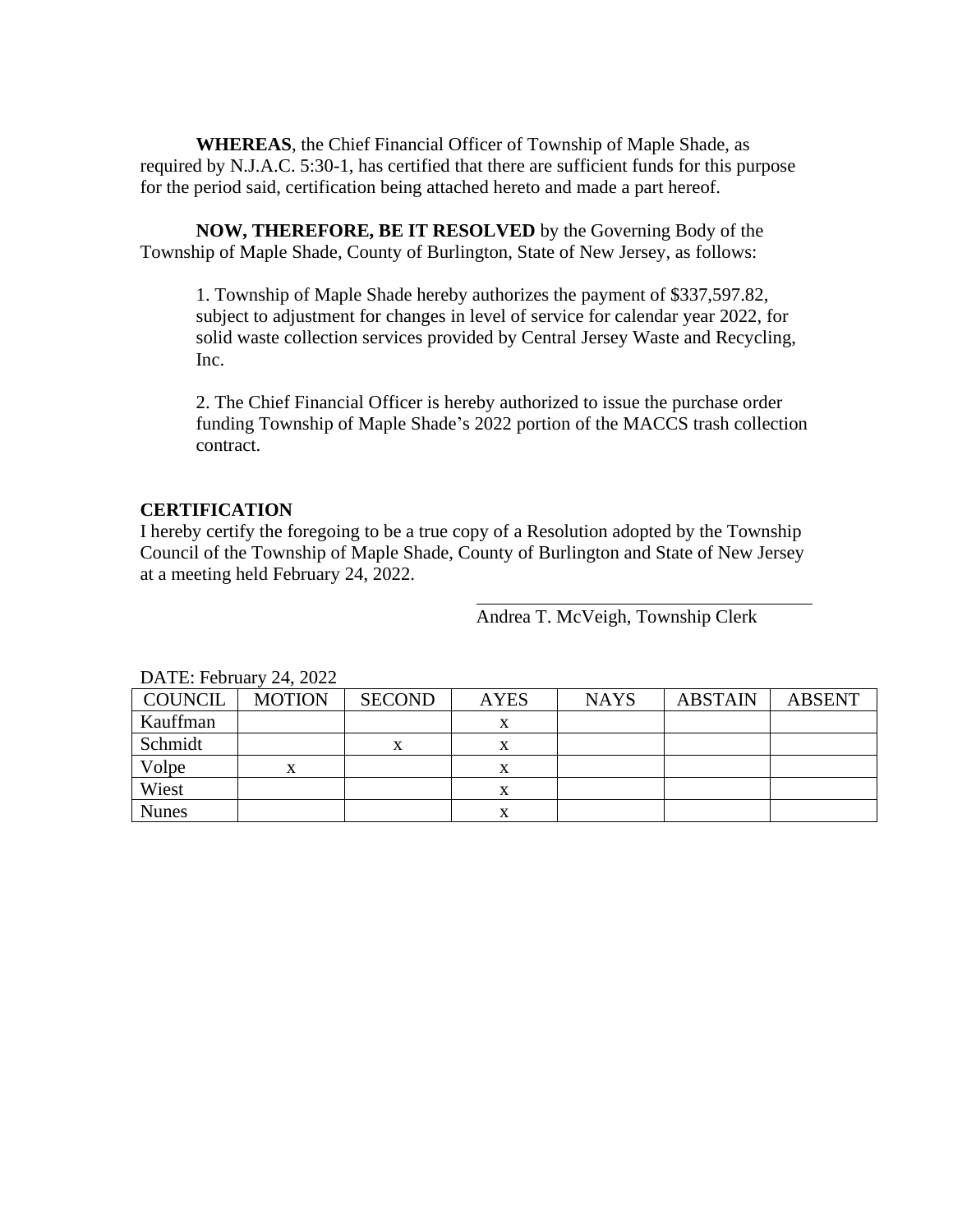**WHEREAS**, the Chief Financial Officer of Township of Maple Shade, as required by N.J.A.C. 5:30-1, has certified that there are sufficient funds for this purpose for the period said, certification being attached hereto and made a part hereof.

**NOW, THEREFORE, BE IT RESOLVED** by the Governing Body of the Township of Maple Shade, County of Burlington, State of New Jersey, as follows:

1. Township of Maple Shade hereby authorizes the payment of \$337,597.82, subject to adjustment for changes in level of service for calendar year 2022, for solid waste collection services provided by Central Jersey Waste and Recycling, Inc.

2. The Chief Financial Officer is hereby authorized to issue the purchase order funding Township of Maple Shade's 2022 portion of the MACCS trash collection contract.

#### **CERTIFICATION**

I hereby certify the foregoing to be a true copy of a Resolution adopted by the Township Council of the Township of Maple Shade, County of Burlington and State of New Jersey at a meeting held February 24, 2022.

Andrea T. McVeigh, Township Clerk

| DATE. FUGURI V $24, 2022$ |               |               |             |             |                |               |  |
|---------------------------|---------------|---------------|-------------|-------------|----------------|---------------|--|
| <b>COUNCIL</b>            | <b>MOTION</b> | <b>SECOND</b> | <b>AYES</b> | <b>NAYS</b> | <b>ABSTAIN</b> | <b>ABSENT</b> |  |
| Kauffman                  |               |               |             |             |                |               |  |
| Schmidt                   |               | x             | x           |             |                |               |  |
| Volpe                     | X             |               | x           |             |                |               |  |
| Wiest                     |               |               | л           |             |                |               |  |
| <b>Nunes</b>              |               |               |             |             |                |               |  |

 $\Gamma$ ATE: February 24, 2022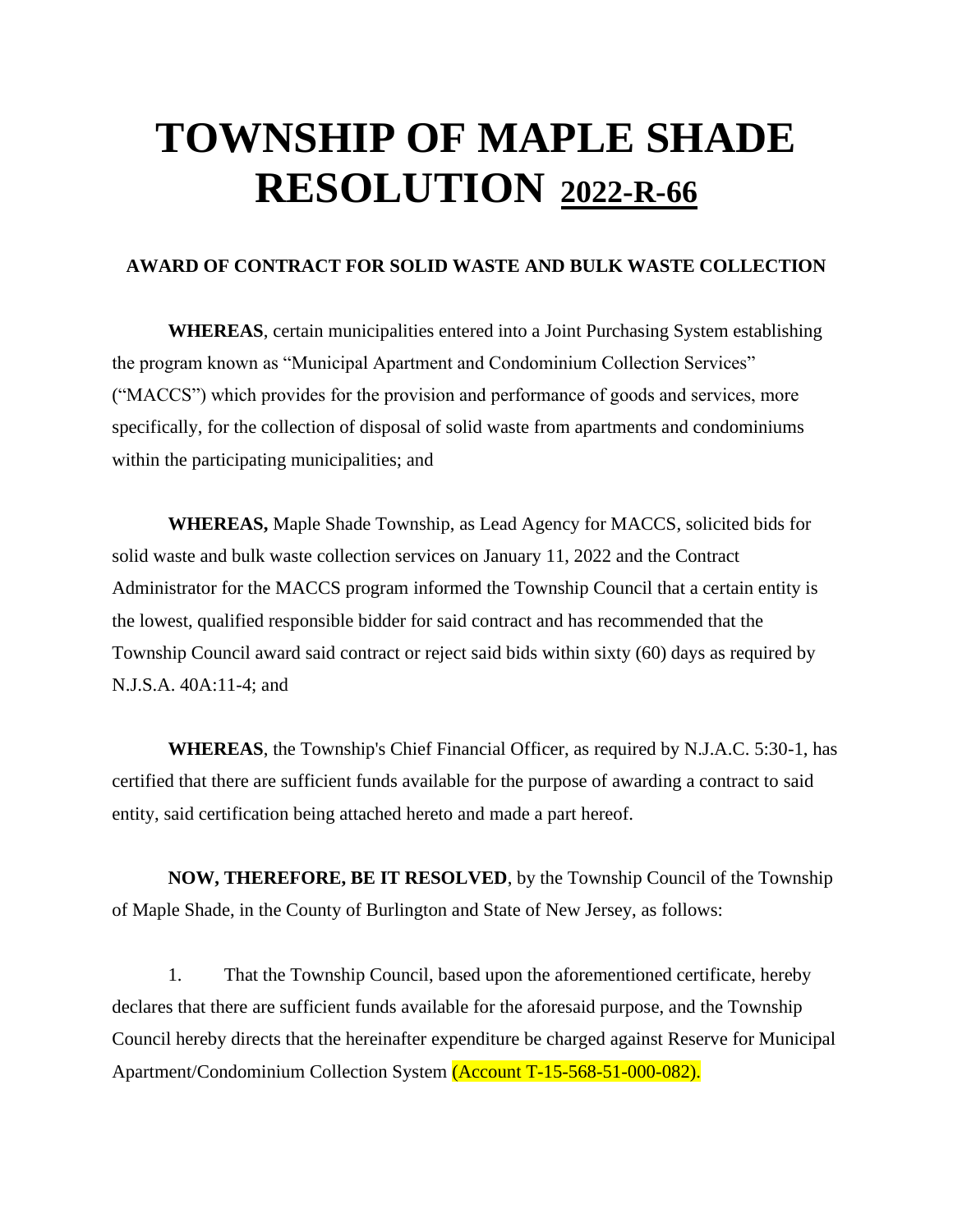#### **AWARD OF CONTRACT FOR SOLID WASTE AND BULK WASTE COLLECTION**

**WHEREAS**, certain municipalities entered into a Joint Purchasing System establishing the program known as "Municipal Apartment and Condominium Collection Services" ("MACCS") which provides for the provision and performance of goods and services, more specifically, for the collection of disposal of solid waste from apartments and condominiums within the participating municipalities; and

**WHEREAS,** Maple Shade Township, as Lead Agency for MACCS, solicited bids for solid waste and bulk waste collection services on January 11, 2022 and the Contract Administrator for the MACCS program informed the Township Council that a certain entity is the lowest, qualified responsible bidder for said contract and has recommended that the Township Council award said contract or reject said bids within sixty (60) days as required by N.J.S.A. 40A:11-4; and

**WHEREAS**, the Township's Chief Financial Officer, as required by N.J.A.C. 5:30-1, has certified that there are sufficient funds available for the purpose of awarding a contract to said entity, said certification being attached hereto and made a part hereof.

**NOW, THEREFORE, BE IT RESOLVED**, by the Township Council of the Township of Maple Shade, in the County of Burlington and State of New Jersey, as follows:

1. That the Township Council, based upon the aforementioned certificate, hereby declares that there are sufficient funds available for the aforesaid purpose, and the Township Council hereby directs that the hereinafter expenditure be charged against Reserve for Municipal Apartment/Condominium Collection System (Account T-15-568-51-000-082).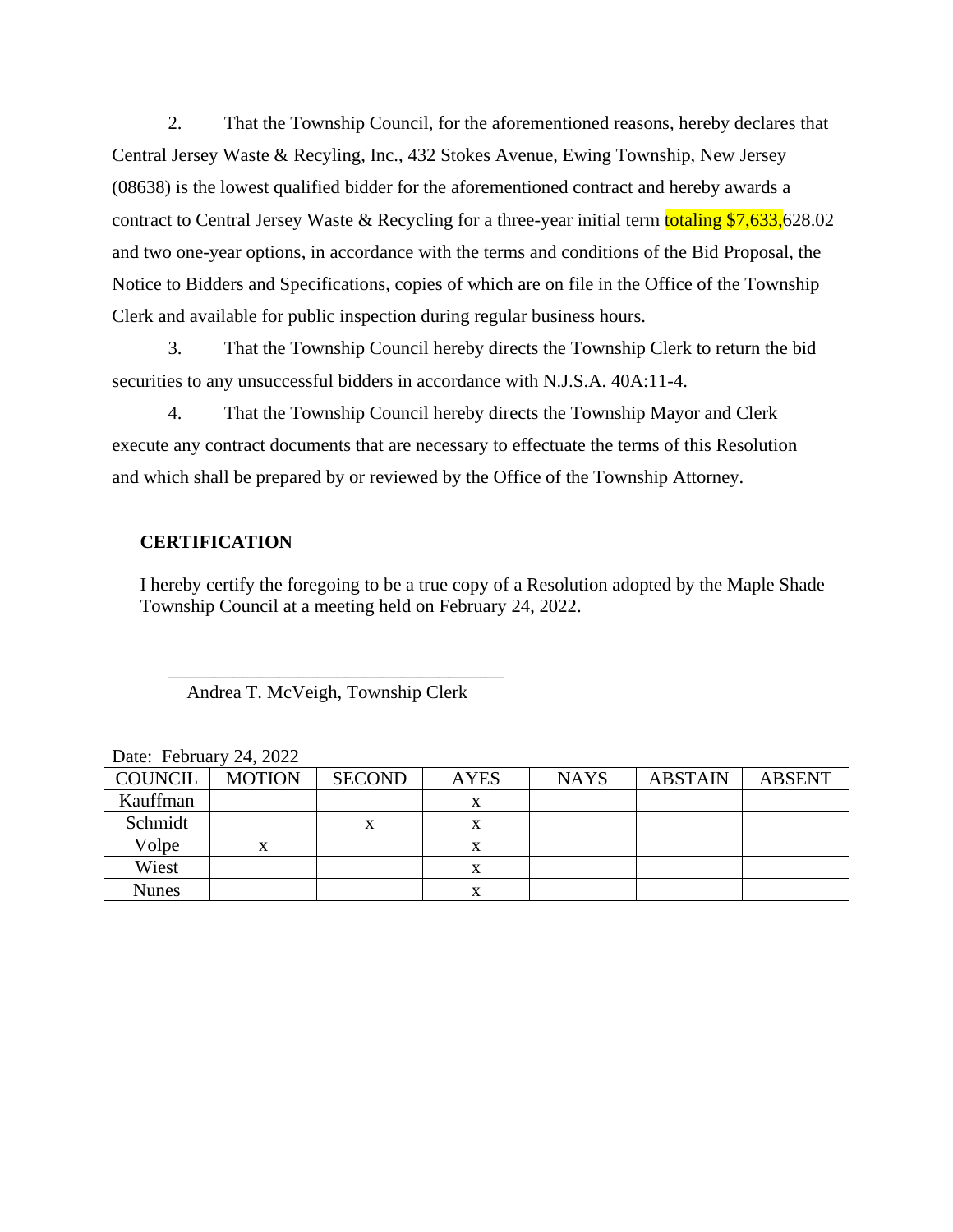2. That the Township Council, for the aforementioned reasons, hereby declares that Central Jersey Waste & Recyling, Inc., 432 Stokes Avenue, Ewing Township, New Jersey (08638) is the lowest qualified bidder for the aforementioned contract and hereby awards a contract to Central Jersey Waste & Recycling for a three-year initial term totaling \$7,633,628.02 and two one-year options, in accordance with the terms and conditions of the Bid Proposal, the Notice to Bidders and Specifications, copies of which are on file in the Office of the Township Clerk and available for public inspection during regular business hours.

3. That the Township Council hereby directs the Township Clerk to return the bid securities to any unsuccessful bidders in accordance with N.J.S.A. 40A:11-4.

4. That the Township Council hereby directs the Township Mayor and Clerk execute any contract documents that are necessary to effectuate the terms of this Resolution and which shall be prepared by or reviewed by the Office of the Township Attorney.

#### **CERTIFICATION**

I hereby certify the foregoing to be a true copy of a Resolution adopted by the Maple Shade Township Council at a meeting held on February 24, 2022.

#### \_\_\_\_\_\_\_\_\_\_\_\_\_\_\_\_\_\_\_\_\_\_\_\_\_\_\_\_\_\_\_\_\_\_\_\_ Andrea T. McVeigh, Township Clerk

| Date. I column $2\pi$ , $2022$ |               |               |             |             |                |               |
|--------------------------------|---------------|---------------|-------------|-------------|----------------|---------------|
| <b>COUNCIL</b>                 | <b>MOTION</b> | <b>SECOND</b> | <b>AYES</b> | <b>NAYS</b> | <b>ABSTAIN</b> | <b>ABSENT</b> |
| Kauffman                       |               |               |             |             |                |               |
| Schmidt                        |               |               |             |             |                |               |
| Volpe                          |               |               |             |             |                |               |
| Wiest                          |               |               | х           |             |                |               |
| <b>Nunes</b>                   |               |               |             |             |                |               |

|  | Date: February 24, 2022 |  |  |
|--|-------------------------|--|--|
|--|-------------------------|--|--|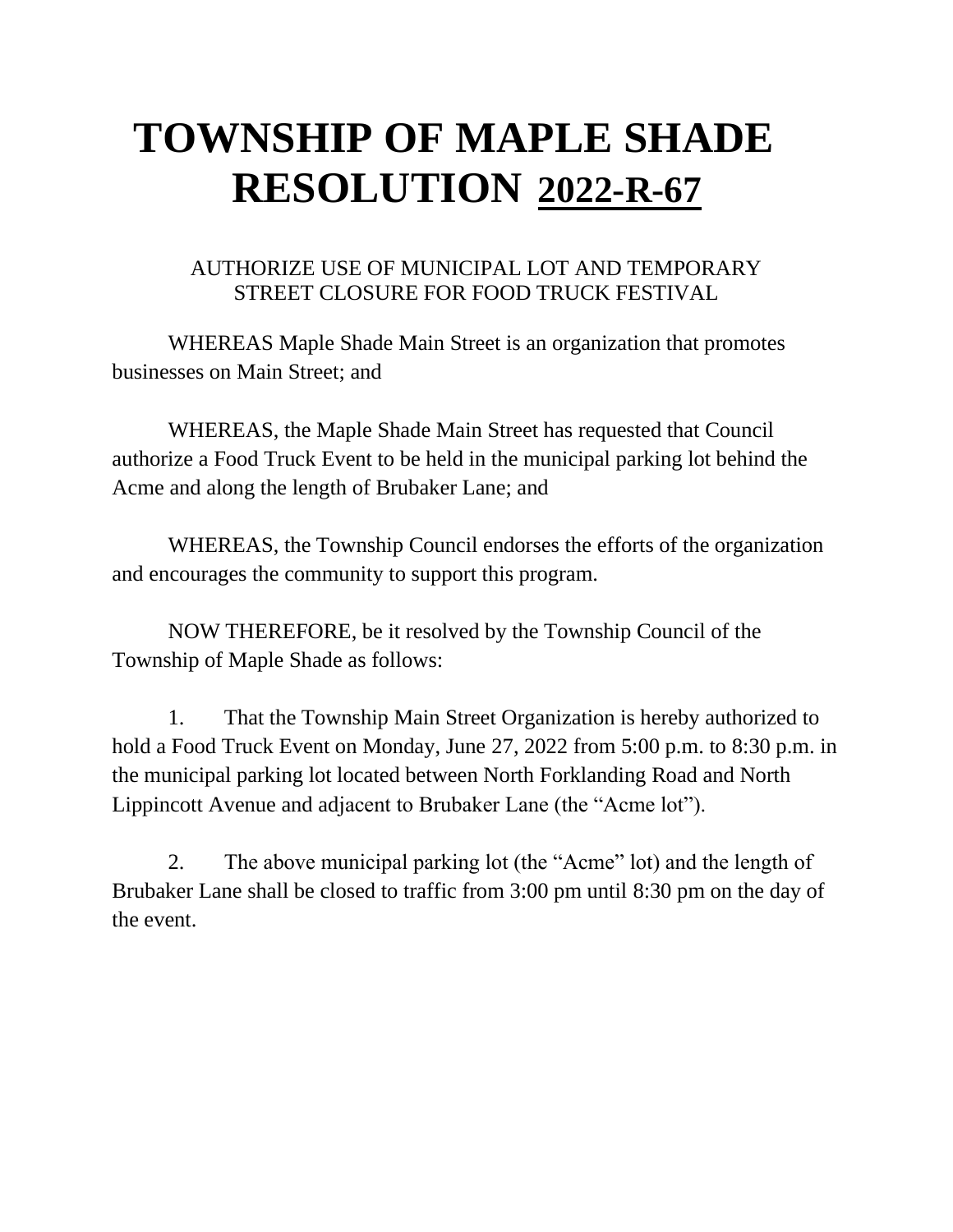## AUTHORIZE USE OF MUNICIPAL LOT AND TEMPORARY STREET CLOSURE FOR FOOD TRUCK FESTIVAL

WHEREAS Maple Shade Main Street is an organization that promotes businesses on Main Street; and

WHEREAS, the Maple Shade Main Street has requested that Council authorize a Food Truck Event to be held in the municipal parking lot behind the Acme and along the length of Brubaker Lane; and

WHEREAS, the Township Council endorses the efforts of the organization and encourages the community to support this program.

NOW THEREFORE, be it resolved by the Township Council of the Township of Maple Shade as follows:

1. That the Township Main Street Organization is hereby authorized to hold a Food Truck Event on Monday, June 27, 2022 from 5:00 p.m. to 8:30 p.m. in the municipal parking lot located between North Forklanding Road and North Lippincott Avenue and adjacent to Brubaker Lane (the "Acme lot").

2. The above municipal parking lot (the "Acme" lot) and the length of Brubaker Lane shall be closed to traffic from 3:00 pm until 8:30 pm on the day of the event.